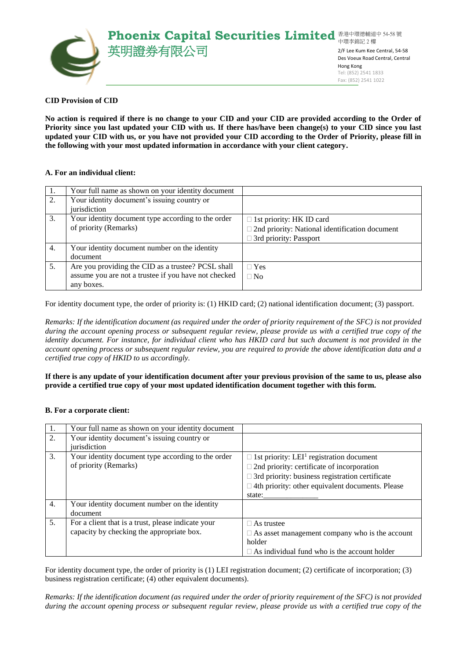

### **CID Provision of CID**

**No action is required if there is no change to your CID and your CID are provided according to the Order of Priority since you last updated your CID with us. If there has/have been change(s) to your CID since you last updated your CID with us, or you have not provided your CID according to the Order of Priority, please fill in the following with your most updated information in accordance with your client category.**

### **A. For an individual client:**

| 1. | Your full name as shown on your identity document    |                                                       |
|----|------------------------------------------------------|-------------------------------------------------------|
| 2. | Your identity document's issuing country or          |                                                       |
|    | iurisdiction                                         |                                                       |
| 3. | Your identity document type according to the order   | $\Box$ 1st priority: HK ID card                       |
|    | of priority (Remarks)                                | $\Box$ 2nd priority: National identification document |
|    |                                                      | $\Box$ 3rd priority: Passport                         |
| 4. | Your identity document number on the identity        |                                                       |
|    | document                                             |                                                       |
| 5. | Are you providing the CID as a trustee? PCSL shall   | $\Box$ Yes                                            |
|    | assume you are not a trustee if you have not checked | $\Box$ No                                             |
|    | any boxes.                                           |                                                       |

For identity document type, the order of priority is: (1) HKID card; (2) national identification document; (3) passport.

*Remarks: If the identification document (as required under the order of priority requirement of the SFC) is not provided during the account opening process or subsequent regular review, please provide us with a certified true copy of the identity document. For instance, for individual client who has HKID card but such document is not provided in the account opening process or subsequent regular review, you are required to provide the above identification data and a certified true copy of HKID to us accordingly.*

### **If there is any update of your identification document after your previous provision of the same to us, please also provide a certified true copy of your most updated identification document together with this form.**

# **B. For a corporate client:**

| 1.               | Your full name as shown on your identity document  |                                                             |
|------------------|----------------------------------------------------|-------------------------------------------------------------|
| 2.               | Your identity document's issuing country or        |                                                             |
|                  | jurisdiction                                       |                                                             |
| 3.               | Your identity document type according to the order | $\Box$ 1st priority: LEI <sup>1</sup> registration document |
|                  | of priority (Remarks)                              | $\Box$ 2nd priority: certificate of incorporation           |
|                  |                                                    | $\Box$ 3rd priority: business registration certificate      |
|                  |                                                    | $\Box$ 4th priority: other equivalent documents. Please     |
|                  |                                                    | state:                                                      |
| $\overline{4}$ . | Your identity document number on the identity      |                                                             |
|                  | document                                           |                                                             |
| 5.               | For a client that is a trust, please indicate your | $\Box$ As trustee                                           |
|                  | capacity by checking the appropriate box.          | $\Box$ As asset management company who is the account       |
|                  |                                                    | holder                                                      |
|                  |                                                    | $\Box$ As individual fund who is the account holder         |

For identity document type, the order of priority is (1) LEI registration document; (2) certificate of incorporation; (3) business registration certificate; (4) other equivalent documents).

*Remarks: If the identification document (as required under the order of priority requirement of the SFC) is not provided during the account opening process or subsequent regular review, please provide us with a certified true copy of the*